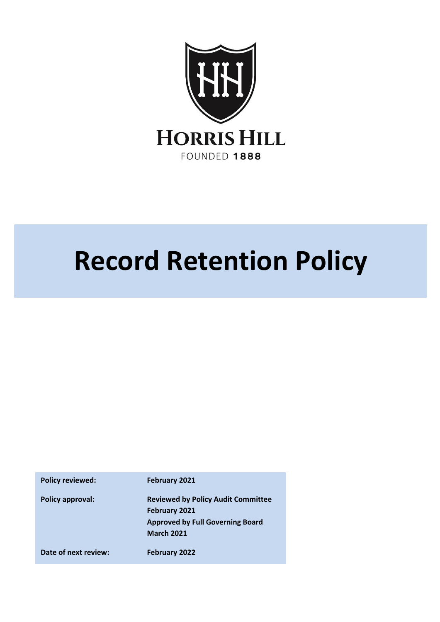

# **Record Retention Policy**

Policy reviewed: February 2021 **Policy approval: Reviewed by Policy Audit Committee February 2021 Approved by Full Governing Board March 2021 Date of next review: February 2022**